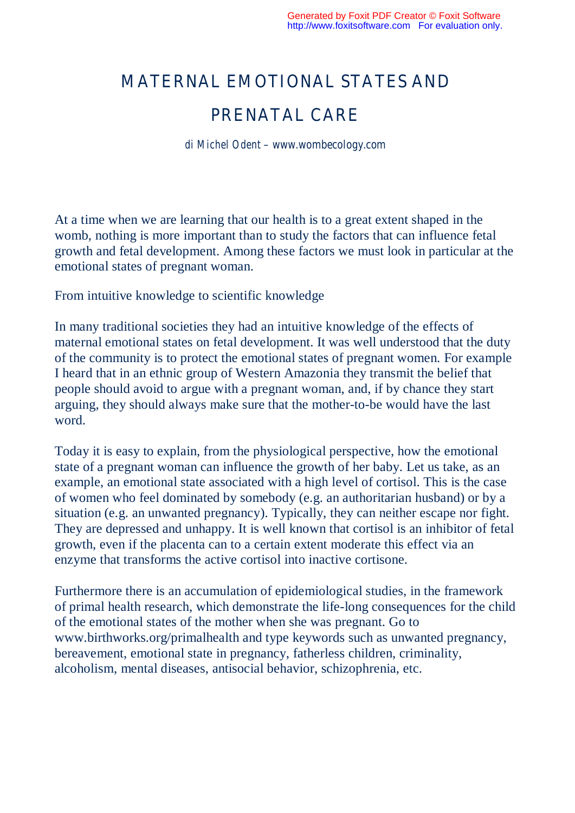## MATERNAL EMOTIONAL STATES AND

## PRENATAL CARE

*di Michel Odent – www.wombecology.com*

At a time when we are learning that our health is to a great extent shaped in the womb, nothing is more important than to study the factors that can influence fetal growth and fetal development. Among these factors we must look in particular at the emotional states of pregnant woman.

From intuitive knowledge to scientific knowledge

In many traditional societies they had an intuitive knowledge of the effects of maternal emotional states on fetal development. It was well understood that the duty of the community is to protect the emotional states of pregnant women. For example I heard that in an ethnic group of Western Amazonia they transmit the belief that people should avoid to argue with a pregnant woman, and, if by chance they start arguing, they should always make sure that the mother-to-be would have the last word.

Today it is easy to explain, from the physiological perspective, how the emotional state of a pregnant woman can influence the growth of her baby. Let us take, as an example, an emotional state associated with a high level of cortisol. This is the case of women who feel dominated by somebody (e.g. an authoritarian husband) or by a situation (e.g. an unwanted pregnancy). Typically, they can neither escape nor fight. They are depressed and unhappy. It is well known that cortisol is an inhibitor of fetal growth, even if the placenta can to a certain extent moderate this effect via an enzyme that transforms the active cortisol into inactive cortisone.

Furthermore there is an accumulation of epidemiological studies, in the framework of primal health research, which demonstrate the life-long consequences for the child of the emotional states of the mother when she was pregnant. Go to www.birthworks.org/primalhealth and type keywords such as unwanted pregnancy, bereavement, emotional state in pregnancy, fatherless children, criminality, alcoholism, mental diseases, antisocial behavior, schizophrenia, etc.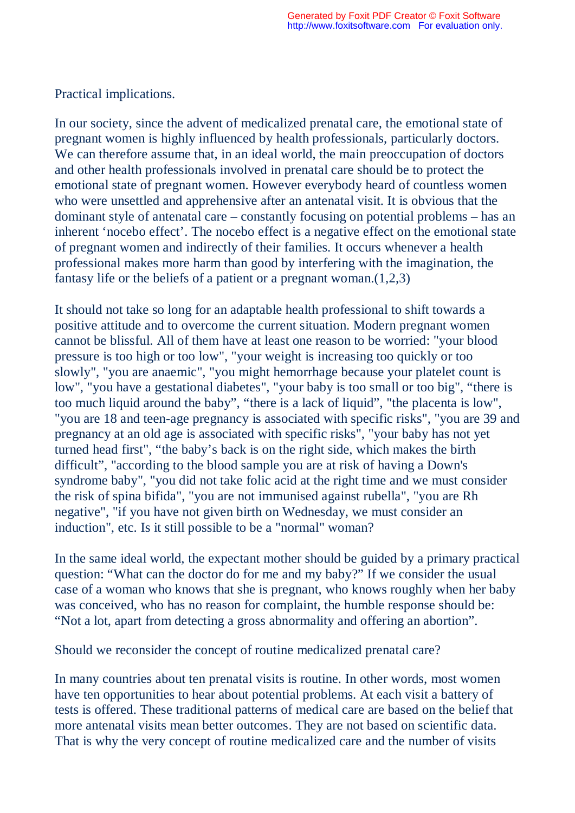Practical implications.

In our society, since the advent of medicalized prenatal care, the emotional state of pregnant women is highly influenced by health professionals, particularly doctors. We can therefore assume that, in an ideal world, the main preoccupation of doctors and other health professionals involved in prenatal care should be to protect the emotional state of pregnant women. However everybody heard of countless women who were unsettled and apprehensive after an antenatal visit. It is obvious that the dominant style of antenatal care – constantly focusing on potential problems – has an inherent 'nocebo effect'. The nocebo effect is a negative effect on the emotional state of pregnant women and indirectly of their families. It occurs whenever a health professional makes more harm than good by interfering with the imagination, the fantasy life or the beliefs of a patient or a pregnant woman.(1,2,3)

It should not take so long for an adaptable health professional to shift towards a positive attitude and to overcome the current situation. Modern pregnant women cannot be blissful. All of them have at least one reason to be worried: "your blood pressure is too high or too low", "your weight is increasing too quickly or too slowly", "you are anaemic", "you might hemorrhage because your platelet count is low", "you have a gestational diabetes", "your baby is too small or too big", "there is too much liquid around the baby", "there is a lack of liquid", "the placenta is low", "you are 18 and teen-age pregnancy is associated with specific risks", "you are 39 and pregnancy at an old age is associated with specific risks", "your baby has not yet turned head first", "the baby's back is on the right side, which makes the birth difficult", "according to the blood sample you are at risk of having a Down's syndrome baby", "you did not take folic acid at the right time and we must consider the risk of spina bifida", "you are not immunised against rubella", "you are Rh negative", "if you have not given birth on Wednesday, we must consider an induction", etc. Is it still possible to be a "normal" woman?

In the same ideal world, the expectant mother should be guided by a primary practical question: "What can the doctor do for me and my baby?" If we consider the usual case of a woman who knows that she is pregnant, who knows roughly when her baby was conceived, who has no reason for complaint, the humble response should be: "Not a lot, apart from detecting a gross abnormality and offering an abortion".

Should we reconsider the concept of routine medicalized prenatal care?

In many countries about ten prenatal visits is routine. In other words, most women have ten opportunities to hear about potential problems. At each visit a battery of tests is offered. These traditional patterns of medical care are based on the belief that more antenatal visits mean better outcomes. They are not based on scientific data. That is why the very concept of routine medicalized care and the number of visits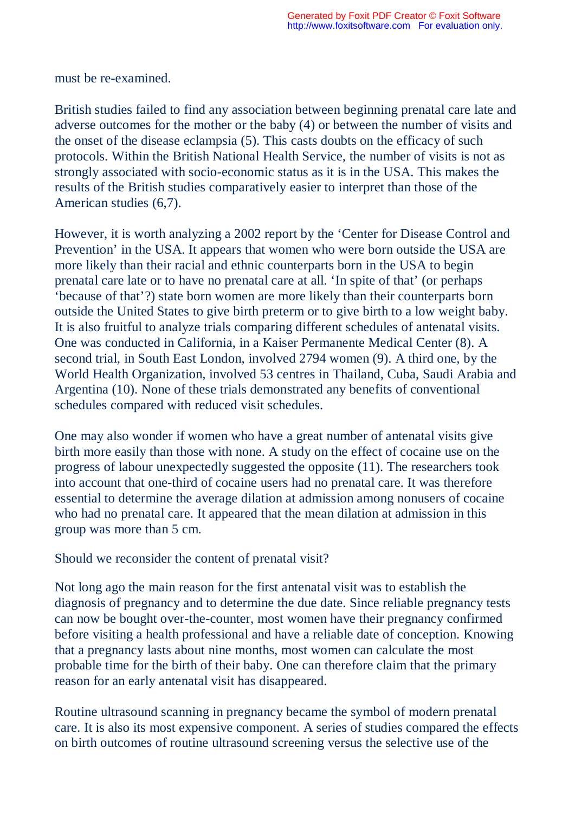must be re-examined.

British studies failed to find any association between beginning prenatal care late and adverse outcomes for the mother or the baby (4) or between the number of visits and the onset of the disease eclampsia (5). This casts doubts on the efficacy of such protocols. Within the British National Health Service, the number of visits is not as strongly associated with socio-economic status as it is in the USA. This makes the results of the British studies comparatively easier to interpret than those of the American studies (6,7).

However, it is worth analyzing a 2002 report by the 'Center for Disease Control and Prevention' in the USA. It appears that women who were born outside the USA are more likely than their racial and ethnic counterparts born in the USA to begin prenatal care late or to have no prenatal care at all. 'In spite of that' (or perhaps 'because of that'?) state born women are more likely than their counterparts born outside the United States to give birth preterm or to give birth to a low weight baby. It is also fruitful to analyze trials comparing different schedules of antenatal visits. One was conducted in California, in a Kaiser Permanente Medical Center (8). A second trial, in South East London, involved 2794 women (9). A third one, by the World Health Organization, involved 53 centres in Thailand, Cuba, Saudi Arabia and Argentina (10). None of these trials demonstrated any benefits of conventional schedules compared with reduced visit schedules.

One may also wonder if women who have a great number of antenatal visits give birth more easily than those with none. A study on the effect of cocaine use on the progress of labour unexpectedly suggested the opposite (11). The researchers took into account that one-third of cocaine users had no prenatal care. It was therefore essential to determine the average dilation at admission among nonusers of cocaine who had no prenatal care. It appeared that the mean dilation at admission in this group was more than 5 cm.

Should we reconsider the content of prenatal visit?

Not long ago the main reason for the first antenatal visit was to establish the diagnosis of pregnancy and to determine the due date. Since reliable pregnancy tests can now be bought over-the-counter, most women have their pregnancy confirmed before visiting a health professional and have a reliable date of conception. Knowing that a pregnancy lasts about nine months, most women can calculate the most probable time for the birth of their baby. One can therefore claim that the primary reason for an early antenatal visit has disappeared.

Routine ultrasound scanning in pregnancy became the symbol of modern prenatal care. It is also its most expensive component. A series of studies compared the effects on birth outcomes of routine ultrasound screening versus the selective use of the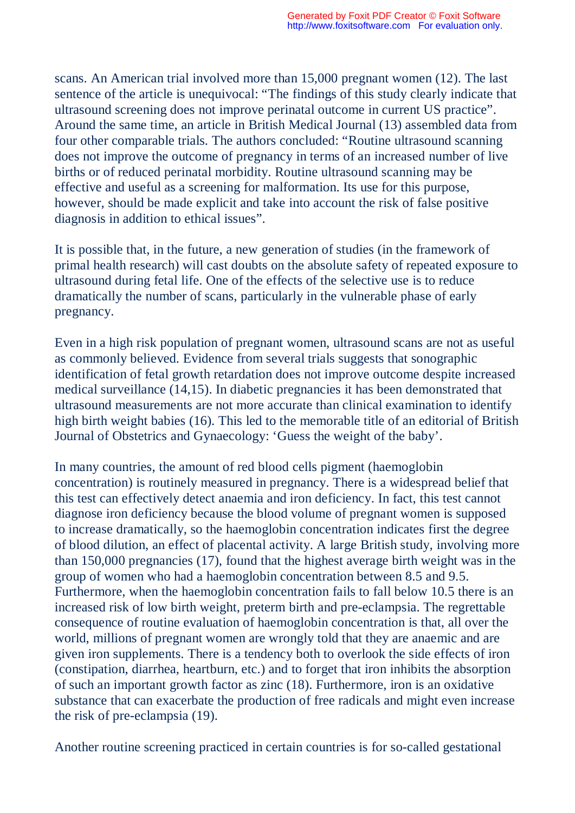scans. An American trial involved more than 15,000 pregnant women (12). The last sentence of the article is unequivocal: "The findings of this study clearly indicate that ultrasound screening does not improve perinatal outcome in current US practice". Around the same time, an article in British Medical Journal (13) assembled data from four other comparable trials. The authors concluded: "Routine ultrasound scanning does not improve the outcome of pregnancy in terms of an increased number of live births or of reduced perinatal morbidity. Routine ultrasound scanning may be effective and useful as a screening for malformation. Its use for this purpose, however, should be made explicit and take into account the risk of false positive diagnosis in addition to ethical issues".

It is possible that, in the future, a new generation of studies (in the framework of primal health research) will cast doubts on the absolute safety of repeated exposure to ultrasound during fetal life. One of the effects of the selective use is to reduce dramatically the number of scans, particularly in the vulnerable phase of early pregnancy.

Even in a high risk population of pregnant women, ultrasound scans are not as useful as commonly believed. Evidence from several trials suggests that sonographic identification of fetal growth retardation does not improve outcome despite increased medical surveillance (14,15). In diabetic pregnancies it has been demonstrated that ultrasound measurements are not more accurate than clinical examination to identify high birth weight babies (16). This led to the memorable title of an editorial of British Journal of Obstetrics and Gynaecology: 'Guess the weight of the baby'.

In many countries, the amount of red blood cells pigment (haemoglobin concentration) is routinely measured in pregnancy. There is a widespread belief that this test can effectively detect anaemia and iron deficiency. In fact, this test cannot diagnose iron deficiency because the blood volume of pregnant women is supposed to increase dramatically, so the haemoglobin concentration indicates first the degree of blood dilution, an effect of placental activity. A large British study, involving more than 150,000 pregnancies (17), found that the highest average birth weight was in the group of women who had a haemoglobin concentration between 8.5 and 9.5. Furthermore, when the haemoglobin concentration fails to fall below 10.5 there is an increased risk of low birth weight, preterm birth and pre-eclampsia. The regrettable consequence of routine evaluation of haemoglobin concentration is that, all over the world, millions of pregnant women are wrongly told that they are anaemic and are given iron supplements. There is a tendency both to overlook the side effects of iron (constipation, diarrhea, heartburn, etc.) and to forget that iron inhibits the absorption of such an important growth factor as zinc (18). Furthermore, iron is an oxidative substance that can exacerbate the production of free radicals and might even increase the risk of pre-eclampsia (19).

Another routine screening practiced in certain countries is for so-called gestational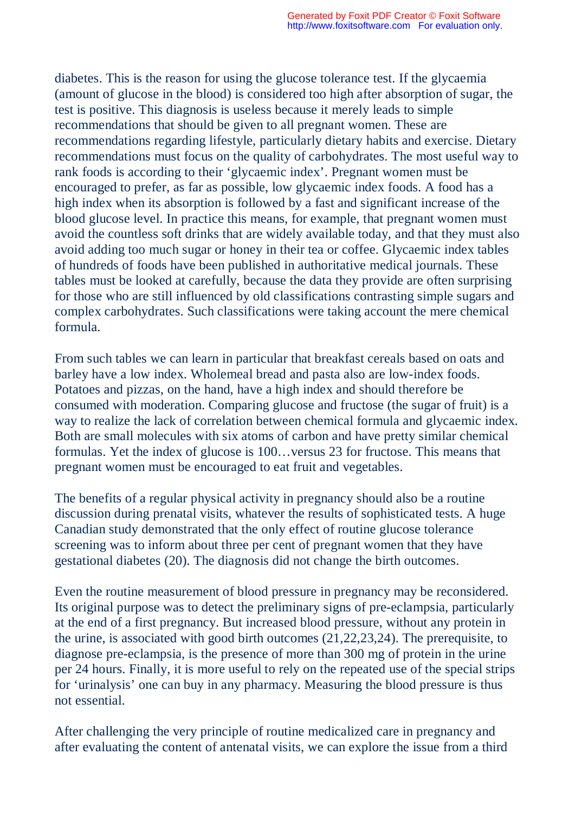diabetes. This is the reason for using the glucose tolerance test. If the glycaemia (amount of glucose in the blood) is considered too high after absorption of sugar, the test is positive. This diagnosis is useless because it merely leads to simple recommendations that should be given to all pregnant women. These are recommendations regarding lifestyle, particularly dietary habits and exercise. Dietary recommendations must focus on the quality of carbohydrates. The most useful way to rank foods is according to their 'glycaemic index'. Pregnant women must be encouraged to prefer, as far as possible, low glycaemic index foods. A food has a high index when its absorption is followed by a fast and significant increase of the blood glucose level. In practice this means, for example, that pregnant women must avoid the countless soft drinks that are widely available today, and that they must also avoid adding too much sugar or honey in their tea or coffee. Glycaemic index tables of hundreds of foods have been published in authoritative medical journals. These tables must be looked at carefully, because the data they provide are often surprising for those who are still influenced by old classifications contrasting simple sugars and complex carbohydrates. Such classifications were taking account the mere chemical formula.

From such tables we can learn in particular that breakfast cereals based on oats and barley have a low index. Wholemeal bread and pasta also are low-index foods. Potatoes and pizzas, on the hand, have a high index and should therefore be consumed with moderation. Comparing glucose and fructose (the sugar of fruit) is a way to realize the lack of correlation between chemical formula and glycaemic index. Both are small molecules with six atoms of carbon and have pretty similar chemical formulas. Yet the index of glucose is 100…versus 23 for fructose. This means that pregnant women must be encouraged to eat fruit and vegetables.

The benefits of a regular physical activity in pregnancy should also be a routine discussion during prenatal visits, whatever the results of sophisticated tests. A huge Canadian study demonstrated that the only effect of routine glucose tolerance screening was to inform about three per cent of pregnant women that they have gestational diabetes (20). The diagnosis did not change the birth outcomes.

Even the routine measurement of blood pressure in pregnancy may be reconsidered. Its original purpose was to detect the preliminary signs of pre-eclampsia, particularly at the end of a first pregnancy. But increased blood pressure, without any protein in the urine, is associated with good birth outcomes (21,22,23,24). The prerequisite, to diagnose pre-eclampsia, is the presence of more than 300 mg of protein in the urine per 24 hours. Finally, it is more useful to rely on the repeated use of the special strips for 'urinalysis' one can buy in any pharmacy. Measuring the blood pressure is thus not essential.

After challenging the very principle of routine medicalized care in pregnancy and after evaluating the content of antenatal visits, we can explore the issue from a third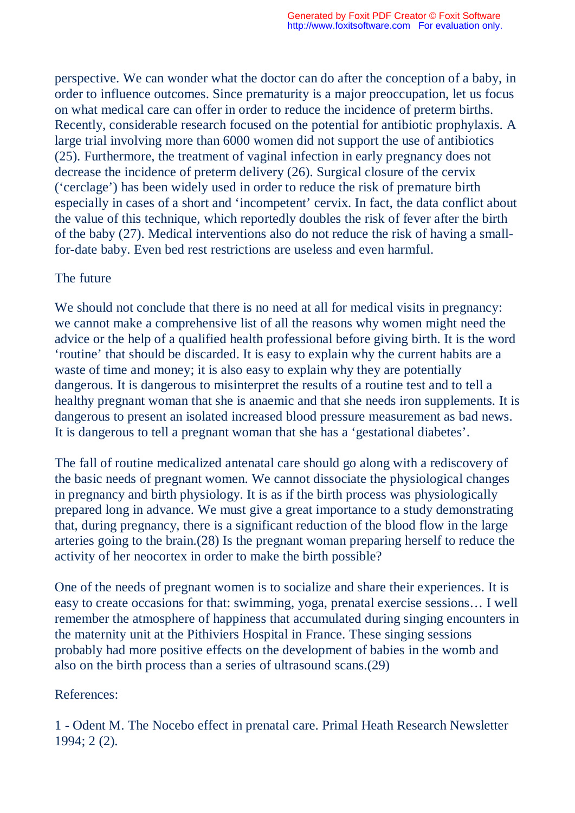perspective. We can wonder what the doctor can do after the conception of a baby, in order to influence outcomes. Since prematurity is a major preoccupation, let us focus on what medical care can offer in order to reduce the incidence of preterm births. Recently, considerable research focused on the potential for antibiotic prophylaxis. A large trial involving more than 6000 women did not support the use of antibiotics (25). Furthermore, the treatment of vaginal infection in early pregnancy does not decrease the incidence of preterm delivery (26). Surgical closure of the cervix ('cerclage') has been widely used in order to reduce the risk of premature birth especially in cases of a short and 'incompetent' cervix. In fact, the data conflict about the value of this technique, which reportedly doubles the risk of fever after the birth of the baby (27). Medical interventions also do not reduce the risk of having a smallfor-date baby. Even bed rest restrictions are useless and even harmful.

## The future

We should not conclude that there is no need at all for medical visits in pregnancy: we cannot make a comprehensive list of all the reasons why women might need the advice or the help of a qualified health professional before giving birth. It is the word 'routine' that should be discarded. It is easy to explain why the current habits are a waste of time and money; it is also easy to explain why they are potentially dangerous. It is dangerous to misinterpret the results of a routine test and to tell a healthy pregnant woman that she is anaemic and that she needs iron supplements. It is dangerous to present an isolated increased blood pressure measurement as bad news. It is dangerous to tell a pregnant woman that she has a 'gestational diabetes'.

The fall of routine medicalized antenatal care should go along with a rediscovery of the basic needs of pregnant women. We cannot dissociate the physiological changes in pregnancy and birth physiology. It is as if the birth process was physiologically prepared long in advance. We must give a great importance to a study demonstrating that, during pregnancy, there is a significant reduction of the blood flow in the large arteries going to the brain.(28) Is the pregnant woman preparing herself to reduce the activity of her neocortex in order to make the birth possible?

One of the needs of pregnant women is to socialize and share their experiences. It is easy to create occasions for that: swimming, yoga, prenatal exercise sessions… I well remember the atmosphere of happiness that accumulated during singing encounters in the maternity unit at the Pithiviers Hospital in France. These singing sessions probably had more positive effects on the development of babies in the womb and also on the birth process than a series of ultrasound scans.(29)

## References:

1 - Odent M. The Nocebo effect in prenatal care. Primal Heath Research Newsletter 1994; 2 (2).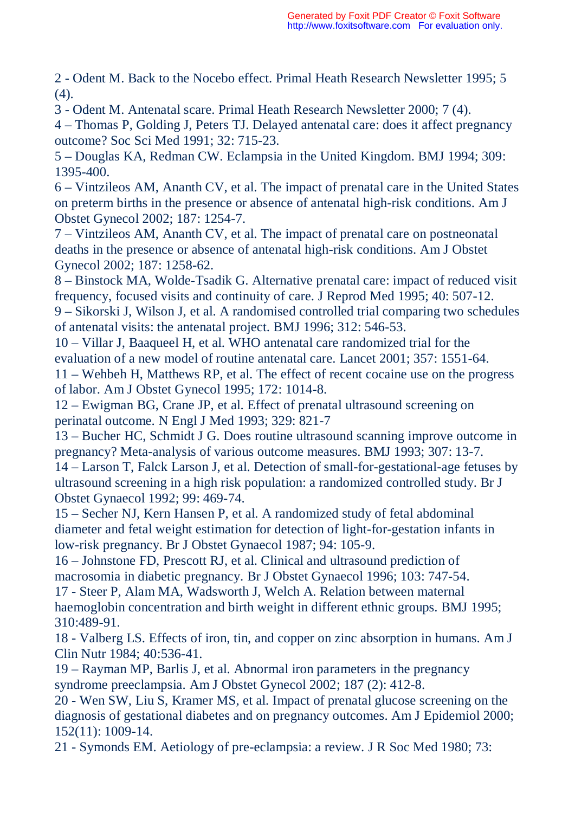2 - Odent M. Back to the Nocebo effect. Primal Heath Research Newsletter 1995; 5  $(4)$ .

3 - Odent M. Antenatal scare. Primal Heath Research Newsletter 2000; 7 (4).

4 – Thomas P, Golding J, Peters TJ. Delayed antenatal care: does it affect pregnancy outcome? Soc Sci Med 1991; 32: 715-23.

5 – Douglas KA, Redman CW. Eclampsia in the United Kingdom. BMJ 1994; 309: 1395-400.

6 – Vintzileos AM, Ananth CV, et al. The impact of prenatal care in the United States on preterm births in the presence or absence of antenatal high-risk conditions. Am J Obstet Gynecol 2002; 187: 1254-7.

7 – Vintzileos AM, Ananth CV, et al. The impact of prenatal care on postneonatal deaths in the presence or absence of antenatal high-risk conditions. Am J Obstet Gynecol 2002; 187: 1258-62.

8 – Binstock MA, Wolde-Tsadik G. Alternative prenatal care: impact of reduced visit frequency, focused visits and continuity of care. J Reprod Med 1995; 40: 507-12.

9 – Sikorski J, Wilson J, et al. A randomised controlled trial comparing two schedules of antenatal visits: the antenatal project. BMJ 1996; 312: 546-53.

10 – Villar J, Baaqueel H, et al. WHO antenatal care randomized trial for the evaluation of a new model of routine antenatal care. Lancet 2001; 357: 1551-64.

11 – Wehbeh H, Matthews RP, et al. The effect of recent cocaine use on the progress of labor. Am J Obstet Gynecol 1995; 172: 1014-8.

12 – Ewigman BG, Crane JP, et al. Effect of prenatal ultrasound screening on perinatal outcome. N Engl J Med 1993; 329: 821-7

13 – Bucher HC, Schmidt J G. Does routine ultrasound scanning improve outcome in pregnancy? Meta-analysis of various outcome measures. BMJ 1993; 307: 13-7.

14 – Larson T, Falck Larson J, et al. Detection of small-for-gestational-age fetuses by ultrasound screening in a high risk population: a randomized controlled study. Br J Obstet Gynaecol 1992; 99: 469-74.

15 – Secher NJ, Kern Hansen P, et al. A randomized study of fetal abdominal diameter and fetal weight estimation for detection of light-for-gestation infants in low-risk pregnancy. Br J Obstet Gynaecol 1987; 94: 105-9.

16 – Johnstone FD, Prescott RJ, et al. Clinical and ultrasound prediction of macrosomia in diabetic pregnancy. Br J Obstet Gynaecol 1996; 103: 747-54. 17 - Steer P, Alam MA, Wadsworth J, Welch A. Relation between maternal

haemoglobin concentration and birth weight in different ethnic groups. BMJ 1995; 310:489-91.

18 - Valberg LS. Effects of iron, tin, and copper on zinc absorption in humans. Am J Clin Nutr 1984; 40:536-41.

19 – Rayman MP, Barlis J, et al. Abnormal iron parameters in the pregnancy syndrome preeclampsia. Am J Obstet Gynecol 2002; 187 (2): 412-8.

20 - Wen SW, Liu S, Kramer MS, et al. Impact of prenatal glucose screening on the diagnosis of gestational diabetes and on pregnancy outcomes. Am J Epidemiol 2000; 152(11): 1009-14.

21 - Symonds EM. Aetiology of pre-eclampsia: a review. J R Soc Med 1980; 73: